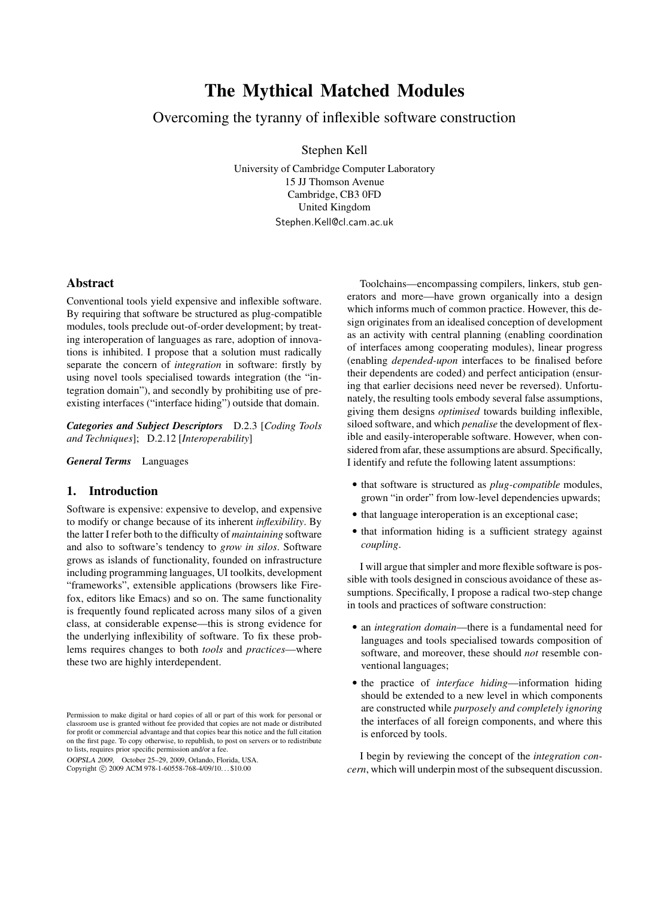# **The Mythical Matched Modules**

# Overcoming the tyranny of inflexible software construction

Stephen Kell

University of Cambridge Computer Laboratory 15 JJ Thomson Avenue Cambridge, CB3 0FD United Kingdom Stephen.Kell@cl.cam.ac.uk

# **Abstract**

Conventional tools yield expensive and inflexible software. By requiring that software be structured as plug-compatible modules, tools preclude out-of-order development; by treating interoperation of languages as rare, adoption of innovations is inhibited. I propose that a solution must radically separate the concern of *integration* in software: firstly by using novel tools specialised towards integration (the "integration domain"), and secondly by prohibiting use of preexisting interfaces ("interface hiding") outside that domain.

*Categories and Subject Descriptors* D.2.3 [*Coding Tools and Techniques*]; D.2.12 [*Interoperability*]

*General Terms* Languages

## **1. Introduction**

Software is expensive: expensive to develop, and expensive to modify or change because of its inherent *inflexibility*. By the latter I refer both to the difficulty of *maintaining* software and also to software's tendency to *grow in silos*. Software grows as islands of functionality, founded on infrastructure including programming languages, UI toolkits, development "frameworks", extensible applications (browsers like Firefox, editors like Emacs) and so on. The same functionality is frequently found replicated across many silos of a given class, at considerable expense—this is strong evidence for the underlying inflexibility of software. To fix these problems requires changes to both *tools* and *practices*—where these two are highly interdependent.

OOPSLA 2009, October 25–29, 2009, Orlando, Florida, USA. Copyright © 2009 ACM 978-1-60558-768-4/09/10...\$10.00

Toolchains—encompassing compilers, linkers, stub generators and more—have grown organically into a design which informs much of common practice. However, this design originates from an idealised conception of development as an activity with central planning (enabling coordination of interfaces among cooperating modules), linear progress (enabling *depended-upon* interfaces to be finalised before their dependents are coded) and perfect anticipation (ensuring that earlier decisions need never be reversed). Unfortunately, the resulting tools embody several false assumptions, giving them designs *optimised* towards building inflexible, siloed software, and which *penalise* the development of flexible and easily-interoperable software. However, when considered from afar, these assumptions are absurd. Specifically, I identify and refute the following latent assumptions:

- *•* that software is structured as *plug-compatible* modules, grown "in order" from low-level dependencies upwards;
- that language interoperation is an exceptional case;
- that information hiding is a sufficient strategy against *coupling*.

I will argue that simpler and more flexible software is possible with tools designed in conscious avoidance of these assumptions. Specifically, I propose a radical two-step change in tools and practices of software construction:

- *•* an *integration domain*—there is a fundamental need for languages and tools specialised towards composition of software, and moreover, these should *not* resemble conventional languages;
- *•* the practice of *interface hiding*—information hiding should be extended to a new level in which components are constructed while *purposely and completely ignoring* the interfaces of all foreign components, and where this is enforced by tools.

I begin by reviewing the concept of the *integration concern*, which will underpin most of the subsequent discussion.

Permission to make digital or hard copies of all or part of this work for personal or classroom use is granted without fee provided that copies are not made or distributed for profit or commercial advantage and that copies bear this notice and the full citation on the first page. To copy otherwise, to republish, to post on servers or to redistribute to lists, requires prior specific permission and/or a fee.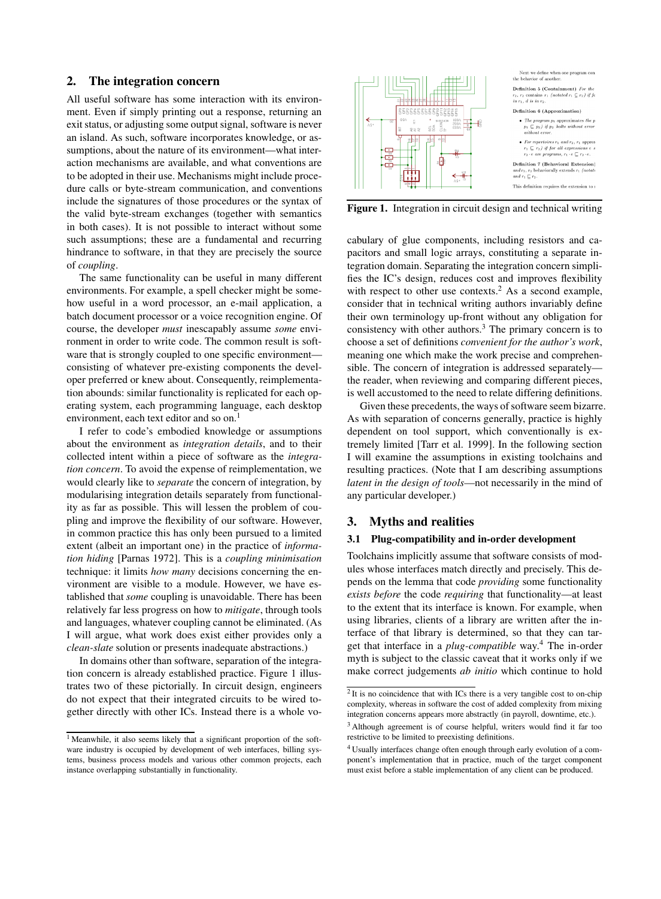## **2. The integration concern**

All useful software has some interaction with its environment. Even if simply printing out a response, returning an exit status, or adjusting some output signal, software is never an island. As such, software incorporates knowledge, or assumptions, about the nature of its environment—what interaction mechanisms are available, and what conventions are to be adopted in their use. Mechanisms might include procedure calls or byte-stream communication, and conventions include the signatures of those procedures or the syntax of the valid byte-stream exchanges (together with semantics in both cases). It is not possible to interact without some such assumptions; these are a fundamental and recurring hindrance to software, in that they are precisely the source of *coupling*.

The same functionality can be useful in many different environments. For example, a spell checker might be somehow useful in a word processor, an e-mail application, a batch document processor or a voice recognition engine. Of course, the developer *must* inescapably assume *some* environment in order to write code. The common result is software that is strongly coupled to one specific environment consisting of whatever pre-existing components the developer preferred or knew about. Consequently, reimplementation abounds: similar functionality is replicated for each operating system, each programming language, each desktop environment, each text editor and so on.<sup>1</sup>

I refer to code's embodied knowledge or assumptions about the environment as *integration details*, and to their collected intent within a piece of software as the *integration concern*. To avoid the expense of reimplementation, we would clearly like to *separate* the concern of integration, by modularising integration details separately from functionality as far as possible. This will lessen the problem of coupling and improve the flexibility of our software. However, in common practice this has only been pursued to a limited extent (albeit an important one) in the practice of *information hiding* [Parnas 1972]. This is a *coupling minimisation* technique: it limits *how many* decisions concerning the environment are visible to a module. However, we have established that *some* coupling is unavoidable. There has been relatively far less progress on how to *mitigate*, through tools and languages, whatever coupling cannot be eliminated. (As I will argue, what work does exist either provides only a *clean-slate* solution or presents inadequate abstractions.)

In domains other than software, separation of the integration concern is already established practice. Figure 1 illustrates two of these pictorially. In circuit design, engineers do not expect that their integrated circuits to be wired together directly with other ICs. Instead there is a whole vo-



**Figure 1.** Integration in circuit design and technical writing

cabulary of glue components, including resistors and capacitors and small logic arrays, constituting a separate integration domain. Separating the integration concern simplifies the IC's design, reduces cost and improves flexibility with respect to other use contexts. $^{2}$  As a second example, consider that in technical writing authors invariably define their own terminology up-front without any obligation for consistency with other authors.<sup>3</sup> The primary concern is to choose a set of definitions *convenient for the author's work*, meaning one which make the work precise and comprehensible. The concern of integration is addressed separately the reader, when reviewing and comparing different pieces, is well accustomed to the need to relate differing definitions.

Given these precedents, the ways of software seem bizarre. As with separation of concerns generally, practice is highly dependent on tool support, which conventionally is extremely limited [Tarr et al. 1999]. In the following section I will examine the assumptions in existing toolchains and resulting practices. (Note that I am describing assumptions *latent in the design of tools*—not necessarily in the mind of any particular developer.)

# **3. Myths and realities**

#### **3.1 Plug-compatibility and in-order development**

Toolchains implicitly assume that software consists of modules whose interfaces match directly and precisely. This depends on the lemma that code *providing* some functionality *exists before* the code *requiring* that functionality—at least to the extent that its interface is known. For example, when using libraries, clients of a library are written after the interface of that library is determined, so that they can target that interface in a *plug-compatible* way.<sup>4</sup> The in-order myth is subject to the classic caveat that it works only if we make correct judgements *ab initio* which continue to hold

<sup>&</sup>lt;sup>1</sup> Meanwhile, it also seems likely that a significant proportion of the software industry is occupied by development of web interfaces, billing systems, business process models and various other common projects, each instance overlapping substantially in functionality.

 $2\overline{1}$  is no coincidence that with ICs there is a very tangible cost to on-chip complexity, whereas in software the cost of added complexity from mixing integration concerns appears more abstractly (in payroll, downtime, etc.).

<sup>&</sup>lt;sup>3</sup> Although agreement is of course helpful, writers would find it far too restrictive to be limited to preexisting definitions.

<sup>4</sup> Usually interfaces change often enough through early evolution of a component's implementation that in practice, much of the target component must exist before a stable implementation of any client can be produced.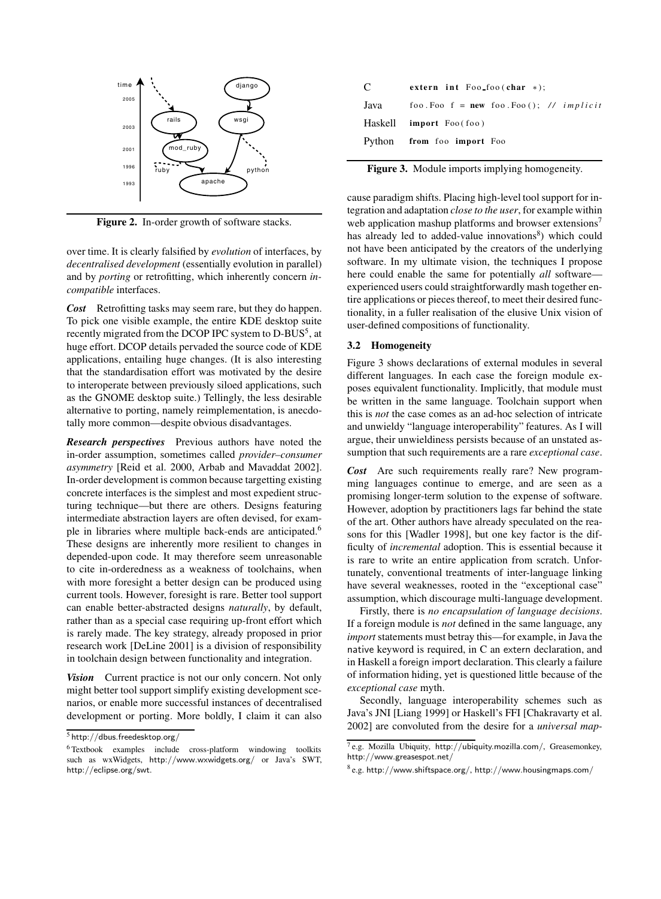

**Figure 2.** In-order growth of software stacks.

over time. It is clearly falsified by *evolution* of interfaces, by *decentralised development* (essentially evolution in parallel) and by *porting* or retrofitting, which inherently concern *incompatible* interfaces.

*Cost* Retrofitting tasks may seem rare, but they do happen. To pick one visible example, the entire KDE desktop suite recently migrated from the DCOP IPC system to D-BUS<sup>5</sup>, at huge effort. DCOP details pervaded the source code of KDE applications, entailing huge changes. (It is also interesting that the standardisation effort was motivated by the desire to interoperate between previously siloed applications, such as the GNOME desktop suite.) Tellingly, the less desirable alternative to porting, namely reimplementation, is anecdotally more common—despite obvious disadvantages.

*Research perspectives* Previous authors have noted the in-order assumption, sometimes called *provider–consumer asymmetry* [Reid et al. 2000, Arbab and Mavaddat 2002]. In-order development is common because targetting existing concrete interfaces is the simplest and most expedient structuring technique—but there are others. Designs featuring intermediate abstraction layers are often devised, for example in libraries where multiple back-ends are anticipated.<sup>6</sup> These designs are inherently more resilient to changes in depended-upon code. It may therefore seem unreasonable to cite in-orderedness as a weakness of toolchains, when with more foresight a better design can be produced using current tools. However, foresight is rare. Better tool support can enable better-abstracted designs *naturally*, by default, rather than as a special case requiring up-front effort which is rarely made. The key strategy, already proposed in prior research work [DeLine 2001] is a division of responsibility in toolchain design between functionality and integration.

*Vision* Current practice is not our only concern. Not only might better tool support simplify existing development scenarios, or enable more successful instances of decentralised development or porting. More boldly, I claim it can also

| <b>extern int</b> $\text{Foo}$ foo $(\text{char } *)$ ; |  |  |  |  |
|---------------------------------------------------------|--|--|--|--|
| foo.Foo $f = new$ foo.Foo(); // <i>implicit</i>         |  |  |  |  |
| Haskell import Foo(foo)                                 |  |  |  |  |
| Python from foo import Foo                              |  |  |  |  |
|                                                         |  |  |  |  |

**Figure 3.** Module imports implying homogeneity.

cause paradigm shifts. Placing high-level tool support for integration and adaptation *close to the user*, for example within web application mashup platforms and browser extensions<sup>7</sup> has already led to added-value innovations $\delta$ ) which could not have been anticipated by the creators of the underlying software. In my ultimate vision, the techniques I propose here could enable the same for potentially *all* software experienced users could straightforwardly mash together entire applications or pieces thereof, to meet their desired functionality, in a fuller realisation of the elusive Unix vision of user-defined compositions of functionality.

#### **3.2 Homogeneity**

Figure 3 shows declarations of external modules in several different languages. In each case the foreign module exposes equivalent functionality. Implicitly, that module must be written in the same language. Toolchain support when this is *not* the case comes as an ad-hoc selection of intricate and unwieldy "language interoperability" features. As I will argue, their unwieldiness persists because of an unstated assumption that such requirements are a rare *exceptional case*.

*Cost* Are such requirements really rare? New programming languages continue to emerge, and are seen as a promising longer-term solution to the expense of software. However, adoption by practitioners lags far behind the state of the art. Other authors have already speculated on the reasons for this [Wadler 1998], but one key factor is the difficulty of *incremental* adoption. This is essential because it is rare to write an entire application from scratch. Unfortunately, conventional treatments of inter-language linking have several weaknesses, rooted in the "exceptional case" assumption, which discourage multi-language development.

Firstly, there is *no encapsulation of language decisions*. If a foreign module is *not* defined in the same language, any *import* statements must betray this—for example, in Java the native keyword is required, in C an extern declaration, and in Haskell a foreign import declaration. This clearly a failure of information hiding, yet is questioned little because of the *exceptional case* myth.

Secondly, language interoperability schemes such as Java's JNI [Liang 1999] or Haskell's FFI [Chakravarty et al. 2002] are convoluted from the desire for a *universal map-*

<sup>5</sup> http://dbus.freedesktop.org/

<sup>6</sup> Textbook examples include cross-platform windowing toolkits such as wxWidgets, http://www.wxwidgets.org/ or Java's SWT, http://eclipse.org/swt.

 $^7$ e.g. Mozilla Ubiquity, http://ubiquity.mozilla.com/, Greasemonkey, http://www.greasespot.net/

 $8$  e.g. http://www.shiftspace.org/, http://www.housingmaps.com/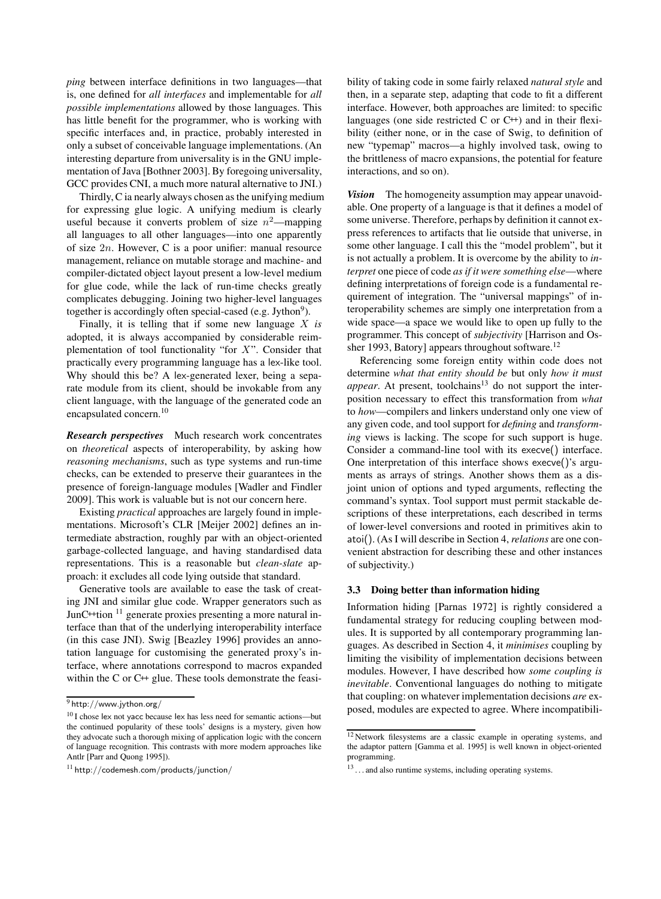*ping* between interface definitions in two languages—that is, one defined for *all interfaces* and implementable for *all possible implementations* allowed by those languages. This has little benefit for the programmer, who is working with specific interfaces and, in practice, probably interested in only a subset of conceivable language implementations. (An interesting departure from universality is in the GNU implementation of Java [Bothner 2003]. By foregoing universality, GCC provides CNI, a much more natural alternative to JNI.)

Thirdly, C ia nearly always chosen as the unifying medium for expressing glue logic. A unifying medium is clearly useful because it converts problem of size  $n^2$ —mapping all languages to all other languages—into one apparently of size 2*n*. However, C is a poor unifier: manual resource management, reliance on mutable storage and machine- and compiler-dictated object layout present a low-level medium for glue code, while the lack of run-time checks greatly complicates debugging. Joining two higher-level languages together is accordingly often special-cased (e.g. Jython<sup>9</sup>).

Finally, it is telling that if some new language *X is* adopted, it is always accompanied by considerable reimplementation of tool functionality "for *X*". Consider that practically every programming language has a lex-like tool. Why should this be? A lex-generated lexer, being a separate module from its client, should be invokable from any client language, with the language of the generated code an encapsulated concern.<sup>10</sup>

*Research perspectives* Much research work concentrates on *theoretical* aspects of interoperability, by asking how *reasoning mechanisms*, such as type systems and run-time checks, can be extended to preserve their guarantees in the presence of foreign-language modules [Wadler and Findler 2009]. This work is valuable but is not our concern here.

Existing *practical* approaches are largely found in implementations. Microsoft's CLR [Meijer 2002] defines an intermediate abstraction, roughly par with an object-oriented garbage-collected language, and having standardised data representations. This is a reasonable but *clean-slate* approach: it excludes all code lying outside that standard.

Generative tools are available to ease the task of creating JNI and similar glue code. Wrapper generators such as JunC $+$ tion  $11$  generate proxies presenting a more natural interface than that of the underlying interoperability interface (in this case JNI). Swig [Beazley 1996] provides an annotation language for customising the generated proxy's interface, where annotations correspond to macros expanded within the C or  $C^+$  glue. These tools demonstrate the feasibility of taking code in some fairly relaxed *natural style* and then, in a separate step, adapting that code to fit a different interface. However, both approaches are limited: to specific languages (one side restricted C or  $C^{(+)}$ ) and in their flexibility (either none, or in the case of Swig, to definition of new "typemap" macros—a highly involved task, owing to the brittleness of macro expansions, the potential for feature interactions, and so on).

*Vision* The homogeneity assumption may appear unavoidable. One property of a language is that it defines a model of some universe. Therefore, perhaps by definition it cannot express references to artifacts that lie outside that universe, in some other language. I call this the "model problem", but it is not actually a problem. It is overcome by the ability to *interpret* one piece of code *as if it were something else*—where defining interpretations of foreign code is a fundamental requirement of integration. The "universal mappings" of interoperability schemes are simply one interpretation from a wide space—a space we would like to open up fully to the programmer. This concept of *subjectivity* [Harrison and Ossher 1993, Batory] appears throughout software.<sup>12</sup>

Referencing some foreign entity within code does not determine *what that entity should be* but only *how it must appear*. At present, toolchains<sup>13</sup> do not support the interposition necessary to effect this transformation from *what* to *how*—compilers and linkers understand only one view of any given code, and tool support for *defining* and *transforming* views is lacking. The scope for such support is huge. Consider a command-line tool with its execve() interface. One interpretation of this interface shows execve()'s arguments as arrays of strings. Another shows them as a disjoint union of options and typed arguments, reflecting the command's syntax. Tool support must permit stackable descriptions of these interpretations, each described in terms of lower-level conversions and rooted in primitives akin to atoi(). (As I will describe in Section 4, *relations* are one convenient abstraction for describing these and other instances of subjectivity.)

#### **3.3 Doing better than information hiding**

Information hiding [Parnas 1972] is rightly considered a fundamental strategy for reducing coupling between modules. It is supported by all contemporary programming languages. As described in Section 4, it *minimises* coupling by limiting the visibility of implementation decisions between modules. However, I have described how *some coupling is inevitable*. Conventional languages do nothing to mitigate that coupling: on whatever implementation decisions *are* exposed, modules are expected to agree. Where incompatibili-

<sup>9</sup> http://www.jython.org/

 $10$  I chose lex not yacc because lex has less need for semantic actions—but the continued popularity of these tools' designs is a mystery, given how they advocate such a thorough mixing of application logic with the concern of language recognition. This contrasts with more modern approaches like Antlr [Parr and Quong 1995]).

<sup>11</sup> http://codemesh.com/products/junction/

 $12$  Network filesystems are a classic example in operating systems, and the adaptor pattern [Gamma et al. 1995] is well known in object-oriented programming.

<sup>&</sup>lt;sup>13</sup> ... and also runtime systems, including operating systems.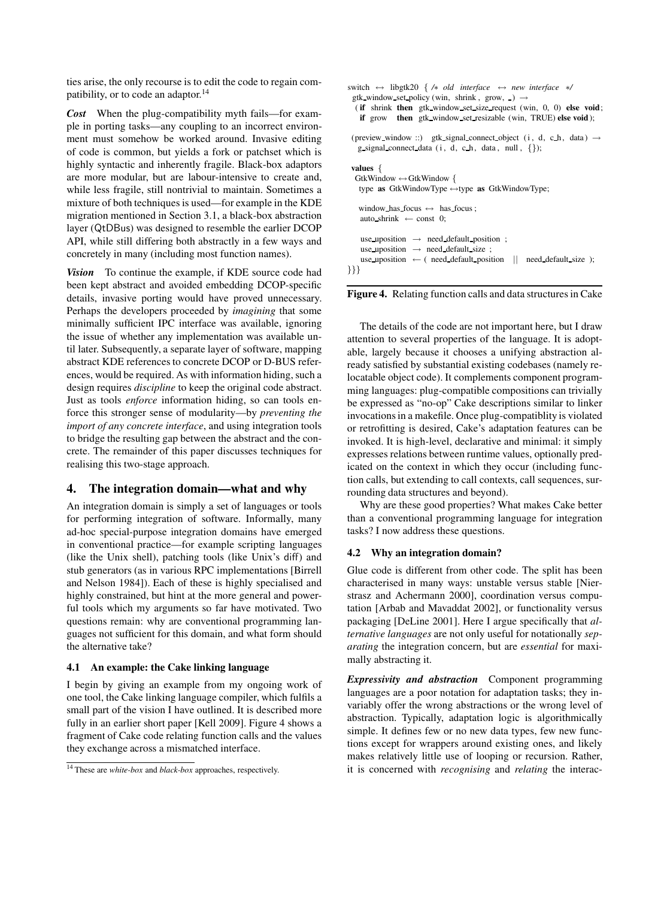ties arise, the only recourse is to edit the code to regain compatibility, or to code an adaptor. $14$ 

*Cost* When the plug-compatibility myth fails—for example in porting tasks—any coupling to an incorrect environment must somehow be worked around. Invasive editing of code is common, but yields a fork or patchset which is highly syntactic and inherently fragile. Black-box adaptors are more modular, but are labour-intensive to create and, while less fragile, still nontrivial to maintain. Sometimes a mixture of both techniques is used—for example in the KDE migration mentioned in Section 3.1, a black-box abstraction layer (QtDBus) was designed to resemble the earlier DCOP API, while still differing both abstractly in a few ways and concretely in many (including most function names).

*Vision* To continue the example, if KDE source code had been kept abstract and avoided embedding DCOP-specific details, invasive porting would have proved unnecessary. Perhaps the developers proceeded by *imagining* that some minimally sufficient IPC interface was available, ignoring the issue of whether any implementation was available until later. Subsequently, a separate layer of software, mapping abstract KDE references to concrete DCOP or D-BUS references, would be required. As with information hiding, such a design requires *discipline* to keep the original code abstract. Just as tools *enforce* information hiding, so can tools enforce this stronger sense of modularity—by *preventing the import of any concrete interface*, and using integration tools to bridge the resulting gap between the abstract and the concrete. The remainder of this paper discusses techniques for realising this two-stage approach.

# **4. The integration domain—what and why**

An integration domain is simply a set of languages or tools for performing integration of software. Informally, many ad-hoc special-purpose integration domains have emerged in conventional practice—for example scripting languages (like the Unix shell), patching tools (like Unix's diff) and stub generators (as in various RPC implementations [Birrell and Nelson 1984]). Each of these is highly specialised and highly constrained, but hint at the more general and powerful tools which my arguments so far have motivated. Two questions remain: why are conventional programming languages not sufficient for this domain, and what form should the alternative take?

## **4.1 An example: the Cake linking language**

I begin by giving an example from my ongoing work of one tool, the Cake linking language compiler, which fulfils a small part of the vision I have outlined. It is described more fully in an earlier short paper [Kell 2009]. Figure 4 shows a fragment of Cake code relating function calls and the values they exchange across a mismatched interface.

```
switch ↔ libgtk20 { /∗ old interface ↔ new interface ∗/
gtk window set policy (win, shrink, grow, \rightarrow( if shrink then gtk window set size request (win, 0, 0) else void;
  if grow then gtk window set resizable (win, TRUE) else void);
(preview window ::) gtk signal connect object (i, d, c h, data) \rightarrowg signal connect data (i, d, c_h), data, null, \{\});
values {
 GtkWindow ↔GtkWindow {
  type as GtkWindowType ↔type as GtkWindowType;
  window has focus \leftrightarrow has focus ;
  auto_shrink \leftarrow const 0;
  use uposition \rightarrow need default position;
  use uposition \rightarrow need default size;
  use uposition \leftarrow ( need default position || need default size );
```
}}}

**Figure 4.** Relating function calls and data structures in Cake

The details of the code are not important here, but I draw attention to several properties of the language. It is adoptable, largely because it chooses a unifying abstraction already satisfied by substantial existing codebases (namely relocatable object code). It complements component programming languages: plug-compatible compositions can trivially be expressed as "no-op" Cake descriptions similar to linker invocations in a makefile. Once plug-compatiblity is violated or retrofitting is desired, Cake's adaptation features can be invoked. It is high-level, declarative and minimal: it simply expresses relations between runtime values, optionally predicated on the context in which they occur (including function calls, but extending to call contexts, call sequences, surrounding data structures and beyond).

Why are these good properties? What makes Cake better than a conventional programming language for integration tasks? I now address these questions.

## **4.2 Why an integration domain?**

Glue code is different from other code. The split has been characterised in many ways: unstable versus stable [Nierstrasz and Achermann 2000], coordination versus computation [Arbab and Mavaddat 2002], or functionality versus packaging [DeLine 2001]. Here I argue specifically that *alternative languages* are not only useful for notationally *separating* the integration concern, but are *essential* for maximally abstracting it.

*Expressivity and abstraction* Component programming languages are a poor notation for adaptation tasks; they invariably offer the wrong abstractions or the wrong level of abstraction. Typically, adaptation logic is algorithmically simple. It defines few or no new data types, few new functions except for wrappers around existing ones, and likely makes relatively little use of looping or recursion. Rather, it is concerned with *recognising* and *relating* the interac-

<sup>14</sup> These are *white-box* and *black-box* approaches, respectively.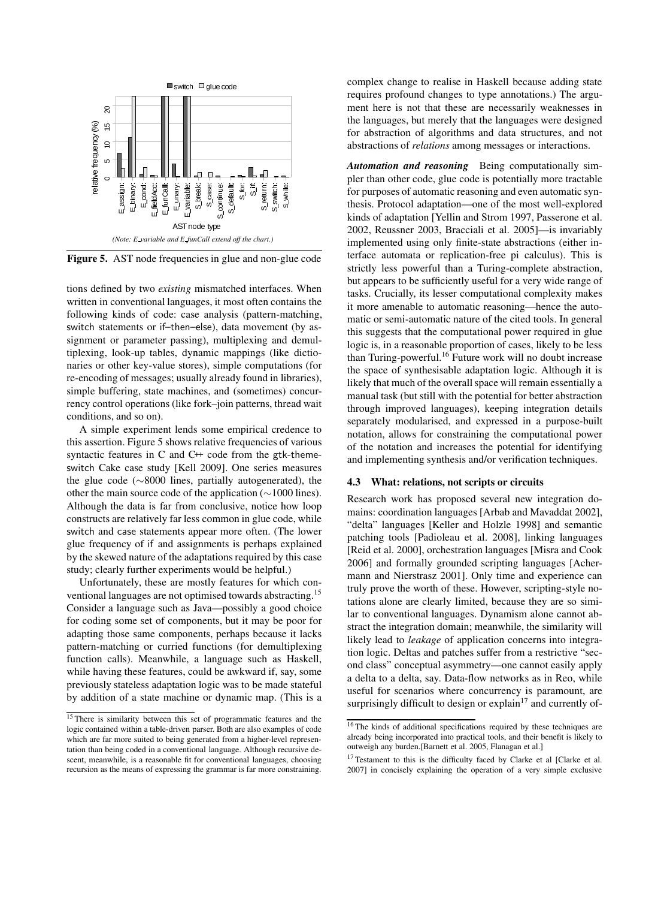

Figure 5. AST node frequencies in glue and non-glue code

tions defined by two *existing* mismatched interfaces. When written in conventional languages, it most often contains the following kinds of code: case analysis (pattern-matching, switch statements or if–then–else), data movement (by assignment or parameter passing), multiplexing and demultiplexing, look-up tables, dynamic mappings (like dictionaries or other key-value stores), simple computations (for re-encoding of messages; usually already found in libraries), simple buffering, state machines, and (sometimes) concurrency control operations (like fork–join patterns, thread wait conditions, and so on).

A simple experiment lends some empirical credence to this assertion. Figure 5 shows relative frequencies of various syntactic features in  $C$  and  $C^{++}$  code from the gtk-themeswitch Cake case study [Kell 2009]. One series measures the glue code (∼8000 lines, partially autogenerated), the other the main source code of the application (∼1000 lines). Although the data is far from conclusive, notice how loop constructs are relatively far less common in glue code, while switch and case statements appear more often. (The lower glue frequency of if and assignments is perhaps explained by the skewed nature of the adaptations required by this case study; clearly further experiments would be helpful.)

Unfortunately, these are mostly features for which conventional languages are not optimised towards abstracting.<sup>15</sup> Consider a language such as Java—possibly a good choice for coding some set of components, but it may be poor for adapting those same components, perhaps because it lacks pattern-matching or curried functions (for demultiplexing function calls). Meanwhile, a language such as Haskell, while having these features, could be awkward if, say, some previously stateless adaptation logic was to be made stateful by addition of a state machine or dynamic map. (This is a

complex change to realise in Haskell because adding state requires profound changes to type annotations.) The argument here is not that these are necessarily weaknesses in the languages, but merely that the languages were designed for abstraction of algorithms and data structures, and not abstractions of *relations* among messages or interactions.

*Automation and reasoning* Being computationally simpler than other code, glue code is potentially more tractable for purposes of automatic reasoning and even automatic synthesis. Protocol adaptation—one of the most well-explored kinds of adaptation [Yellin and Strom 1997, Passerone et al. 2002, Reussner 2003, Bracciali et al. 2005]—is invariably implemented using only finite-state abstractions (either interface automata or replication-free pi calculus). This is strictly less powerful than a Turing-complete abstraction, but appears to be sufficiently useful for a very wide range of tasks. Crucially, its lesser computational complexity makes it more amenable to automatic reasoning—hence the automatic or semi-automatic nature of the cited tools. In general this suggests that the computational power required in glue logic is, in a reasonable proportion of cases, likely to be less than Turing-powerful.<sup>16</sup> Future work will no doubt increase the space of synthesisable adaptation logic. Although it is likely that much of the overall space will remain essentially a manual task (but still with the potential for better abstraction through improved languages), keeping integration details separately modularised, and expressed in a purpose-built notation, allows for constraining the computational power of the notation and increases the potential for identifying and implementing synthesis and/or verification techniques.

#### **4.3 What: relations, not scripts or circuits**

Research work has proposed several new integration domains: coordination languages [Arbab and Mavaddat 2002], "delta" languages [Keller and Holzle 1998] and semantic patching tools [Padioleau et al. 2008], linking languages [Reid et al. 2000], orchestration languages [Misra and Cook 2006] and formally grounded scripting languages [Achermann and Nierstrasz 2001]. Only time and experience can truly prove the worth of these. However, scripting-style notations alone are clearly limited, because they are so similar to conventional languages. Dynamism alone cannot abstract the integration domain; meanwhile, the similarity will likely lead to *leakage* of application concerns into integration logic. Deltas and patches suffer from a restrictive "second class" conceptual asymmetry—one cannot easily apply a delta to a delta, say. Data-flow networks as in Reo, while useful for scenarios where concurrency is paramount, are surprisingly difficult to design or  $explain<sup>17</sup>$  and currently of-

<sup>&</sup>lt;sup>15</sup> There is similarity between this set of programmatic features and the logic contained within a table-driven parser. Both are also examples of code which are far more suited to being generated from a higher-level representation than being coded in a conventional language. Although recursive descent, meanwhile, is a reasonable fit for conventional languages, choosing recursion as the means of expressing the grammar is far more constraining.

<sup>&</sup>lt;sup>16</sup> The kinds of additional specifications required by these techniques are already being incorporated into practical tools, and their benefit is likely to outweigh any burden.[Barnett et al. 2005, Flanagan et al.]

<sup>&</sup>lt;sup>17</sup> Testament to this is the difficulty faced by Clarke et al [Clarke et al. 2007] in concisely explaining the operation of a very simple exclusive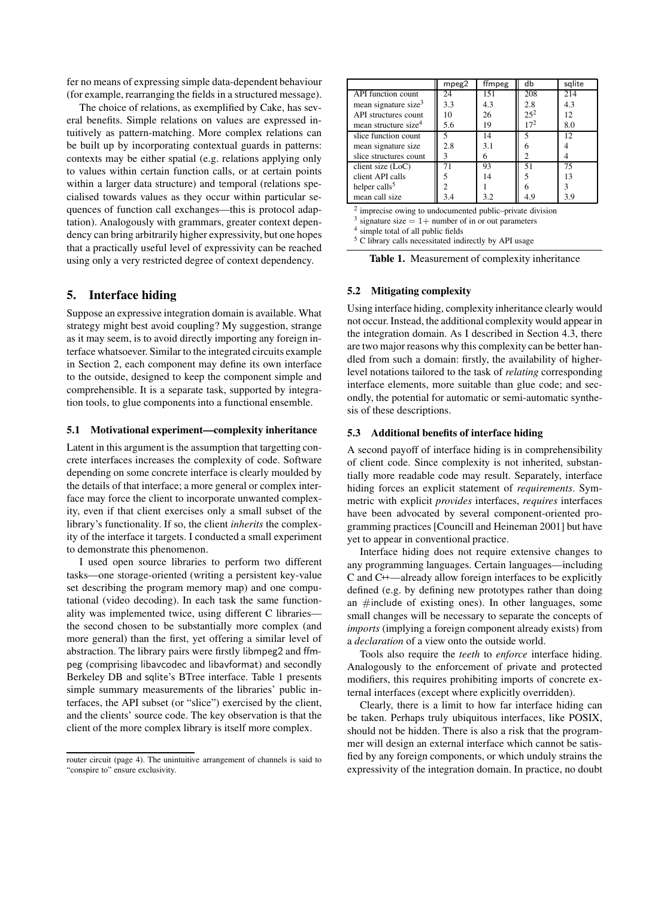fer no means of expressing simple data-dependent behaviour (for example, rearranging the fields in a structured message).

The choice of relations, as exemplified by Cake, has several benefits. Simple relations on values are expressed intuitively as pattern-matching. More complex relations can be built up by incorporating contextual guards in patterns: contexts may be either spatial (e.g. relations applying only to values within certain function calls, or at certain points within a larger data structure) and temporal (relations specialised towards values as they occur within particular sequences of function call exchanges—this is protocol adaptation). Analogously with grammars, greater context dependency can bring arbitrarily higher expressivity, but one hopes that a practically useful level of expressivity can be reached using only a very restricted degree of context dependency.

## **5. Interface hiding**

Suppose an expressive integration domain is available. What strategy might best avoid coupling? My suggestion, strange as it may seem, is to avoid directly importing any foreign interface whatsoever. Similar to the integrated circuits example in Section 2, each component may define its own interface to the outside, designed to keep the component simple and comprehensible. It is a separate task, supported by integration tools, to glue components into a functional ensemble.

### **5.1 Motivational experiment—complexity inheritance**

Latent in this argument is the assumption that targetting concrete interfaces increases the complexity of code. Software depending on some concrete interface is clearly moulded by the details of that interface; a more general or complex interface may force the client to incorporate unwanted complexity, even if that client exercises only a small subset of the library's functionality. If so, the client *inherits* the complexity of the interface it targets. I conducted a small experiment to demonstrate this phenomenon.

I used open source libraries to perform two different tasks—one storage-oriented (writing a persistent key-value set describing the program memory map) and one computational (video decoding). In each task the same functionality was implemented twice, using different C libraries the second chosen to be substantially more complex (and more general) than the first, yet offering a similar level of abstraction. The library pairs were firstly libmpeg2 and ffmpeg (comprising libavcodec and libavformat) and secondly Berkeley DB and sqlite's BTree interface. Table 1 presents simple summary measurements of the libraries' public interfaces, the API subset (or "slice") exercised by the client, and the clients' source code. The key observation is that the client of the more complex library is itself more complex.

|                                  | mpeg2 | ffmpeg | db       | sqlite |
|----------------------------------|-------|--------|----------|--------|
| API function count               | 24    | 151    | 208      | 214    |
| mean signature size <sup>3</sup> | 3.3   | 4.3    | 2.8      | 4.3    |
| API structures count             | 10    | 26     | $25^2$   | 12     |
| mean structure size <sup>4</sup> | 5.6   | 19     | $17^{2}$ | 8.0    |
| slice function count             | 5.    | 14     |          | 12.    |
| mean signature size.             | 2.8   | 3.1    |          |        |
| slice structures count           | 3     | 6      | 2        |        |
| client size $(LoC)$              | 71    | 93     | 51       | 75     |
| client API calls                 |       | 14     |          | 13     |
| helper calls <sup>5</sup>        |       |        |          | 3      |
| mean call size                   | 3.4   | 3.2    | 4.9      | 3.9    |

<sup>2</sup> imprecise owing to undocumented public–private division

<sup>3</sup> signature size  $= 1+$  number of in or out parameters

<sup>4</sup> simple total of all public fields

<sup>5</sup> C library calls necessitated indirectly by API usage

**Table 1.** Measurement of complexity inheritance

#### **5.2 Mitigating complexity**

Using interface hiding, complexity inheritance clearly would not occur. Instead, the additional complexity would appear in the integration domain. As I described in Section 4.3, there are two major reasons why this complexity can be better handled from such a domain: firstly, the availability of higherlevel notations tailored to the task of *relating* corresponding interface elements, more suitable than glue code; and secondly, the potential for automatic or semi-automatic synthesis of these descriptions.

#### **5.3 Additional benefits of interface hiding**

A second payoff of interface hiding is in comprehensibility of client code. Since complexity is not inherited, substantially more readable code may result. Separately, interface hiding forces an explicit statement of *requirements*. Symmetric with explicit *provides* interfaces, *requires* interfaces have been advocated by several component-oriented programming practices [Councill and Heineman 2001] but have yet to appear in conventional practice.

Interface hiding does not require extensive changes to any programming languages. Certain languages—including C and C++—already allow foreign interfaces to be explicitly defined (e.g. by defining new prototypes rather than doing an #include of existing ones). In other languages, some small changes will be necessary to separate the concepts of *imports* (implying a foreign component already exists) from a *declaration* of a view onto the outside world.

Tools also require the *teeth* to *enforce* interface hiding. Analogously to the enforcement of private and protected modifiers, this requires prohibiting imports of concrete external interfaces (except where explicitly overridden).

Clearly, there is a limit to how far interface hiding can be taken. Perhaps truly ubiquitous interfaces, like POSIX, should not be hidden. There is also a risk that the programmer will design an external interface which cannot be satisfied by any foreign components, or which unduly strains the expressivity of the integration domain. In practice, no doubt

router circuit (page 4). The unintuitive arrangement of channels is said to "conspire to" ensure exclusivity.